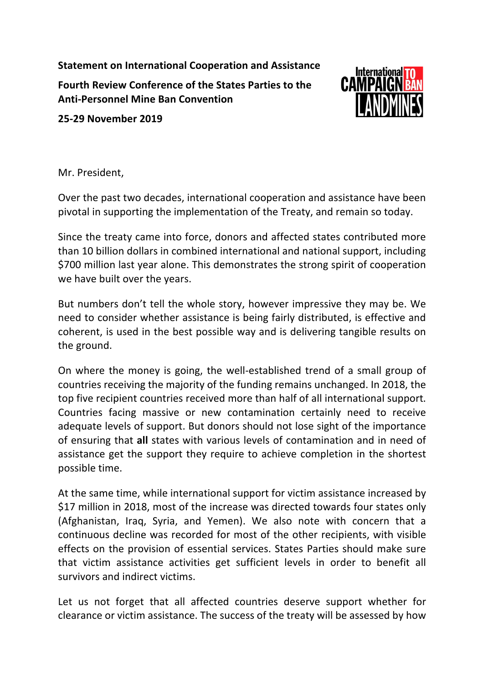**Statement on International Cooperation and Assistance Fourth Review Conference of the States Parties to the Anti-Personnel Mine Ban Convention**



**25-29 November 2019**

Mr. President,

Over the past two decades, international cooperation and assistance have been pivotal in supporting the implementation of the Treaty, and remain so today.

Since the treaty came into force, donors and affected states contributed more than 10 billion dollars in combined international and national support, including \$700 million last year alone. This demonstrates the strong spirit of cooperation we have built over the years.

But numbers don't tell the whole story, however impressive they may be. We need to consider whether assistance is being fairly distributed, is effective and coherent, is used in the best possible way and is delivering tangible results on the ground.

On where the money is going, the well-established trend of a small group of countries receiving the majority of the funding remains unchanged. In 2018, the top five recipient countries received more than half of all international support. Countries facing massive or new contamination certainly need to receive adequate levels of support. But donors should not lose sight of the importance of ensuring that **all** states with various levels of contamination and in need of assistance get the support they require to achieve completion in the shortest possible time.

At the same time, while international support for victim assistance increased by \$17 million in 2018, most of the increase was directed towards four states only (Afghanistan, Iraq, Syria, and Yemen). We also note with concern that a continuous decline was recorded for most of the other recipients, with visible effects on the provision of essential services. States Parties should make sure that victim assistance activities get sufficient levels in order to benefit all survivors and indirect victims.

Let us not forget that all affected countries deserve support whether for clearance or victim assistance. The success of the treaty will be assessed by how